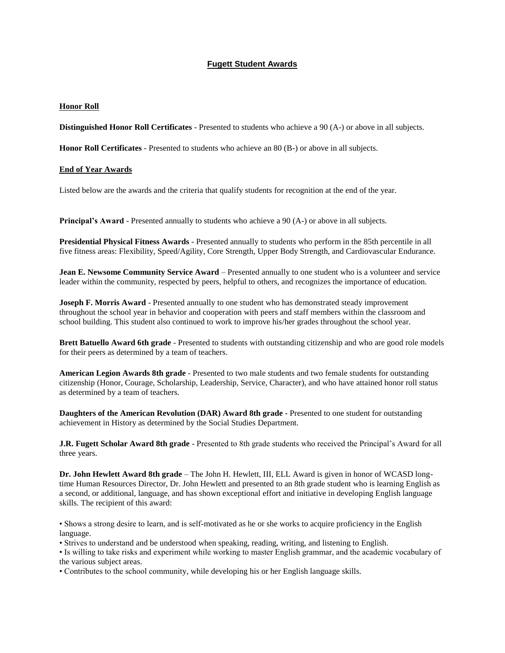## **Fugett Student Awards**

## **Honor Roll**

**Distinguished Honor Roll Certificates** - Presented to students who achieve a 90 (A-) or above in all subjects.

**Honor Roll Certificates** - Presented to students who achieve an 80 (B-) or above in all subjects.

## **End of Year Awards**

Listed below are the awards and the criteria that qualify students for recognition at the end of the year.

**Principal's Award** - Presented annually to students who achieve a 90 (A-) or above in all subjects.

**Presidential Physical Fitness Awards** - Presented annually to students who perform in the 85th percentile in all five fitness areas: Flexibility, Speed/Agility, Core Strength, Upper Body Strength, and Cardiovascular Endurance.

**Jean E. Newsome Community Service Award** – Presented annually to one student who is a volunteer and service leader within the community, respected by peers, helpful to others, and recognizes the importance of education.

**Joseph F. Morris Award** - Presented annually to one student who has demonstrated steady improvement throughout the school year in behavior and cooperation with peers and staff members within the classroom and school building. This student also continued to work to improve his/her grades throughout the school year.

**Brett Batuello Award 6th grade** - Presented to students with outstanding citizenship and who are good role models for their peers as determined by a team of teachers.

**American Legion Awards 8th grade** - Presented to two male students and two female students for outstanding citizenship (Honor, Courage, Scholarship, Leadership, Service, Character), and who have attained honor roll status as determined by a team of teachers.

**Daughters of the American Revolution (DAR) Award 8th grade** - Presented to one student for outstanding achievement in History as determined by the Social Studies Department.

**J.R. Fugett Scholar Award 8th grade** - Presented to 8th grade students who received the Principal's Award for all three years.

**Dr. John Hewlett Award 8th grade** – The John H. Hewlett, III, ELL Award is given in honor of WCASD longtime Human Resources Director, Dr. John Hewlett and presented to an 8th grade student who is learning English as a second, or additional, language, and has shown exceptional effort and initiative in developing English language skills. The recipient of this award:

• Shows a strong desire to learn, and is self-motivated as he or she works to acquire proficiency in the English language.

• Strives to understand and be understood when speaking, reading, writing, and listening to English.

• Is willing to take risks and experiment while working to master English grammar, and the academic vocabulary of the various subject areas.

• Contributes to the school community, while developing his or her English language skills.